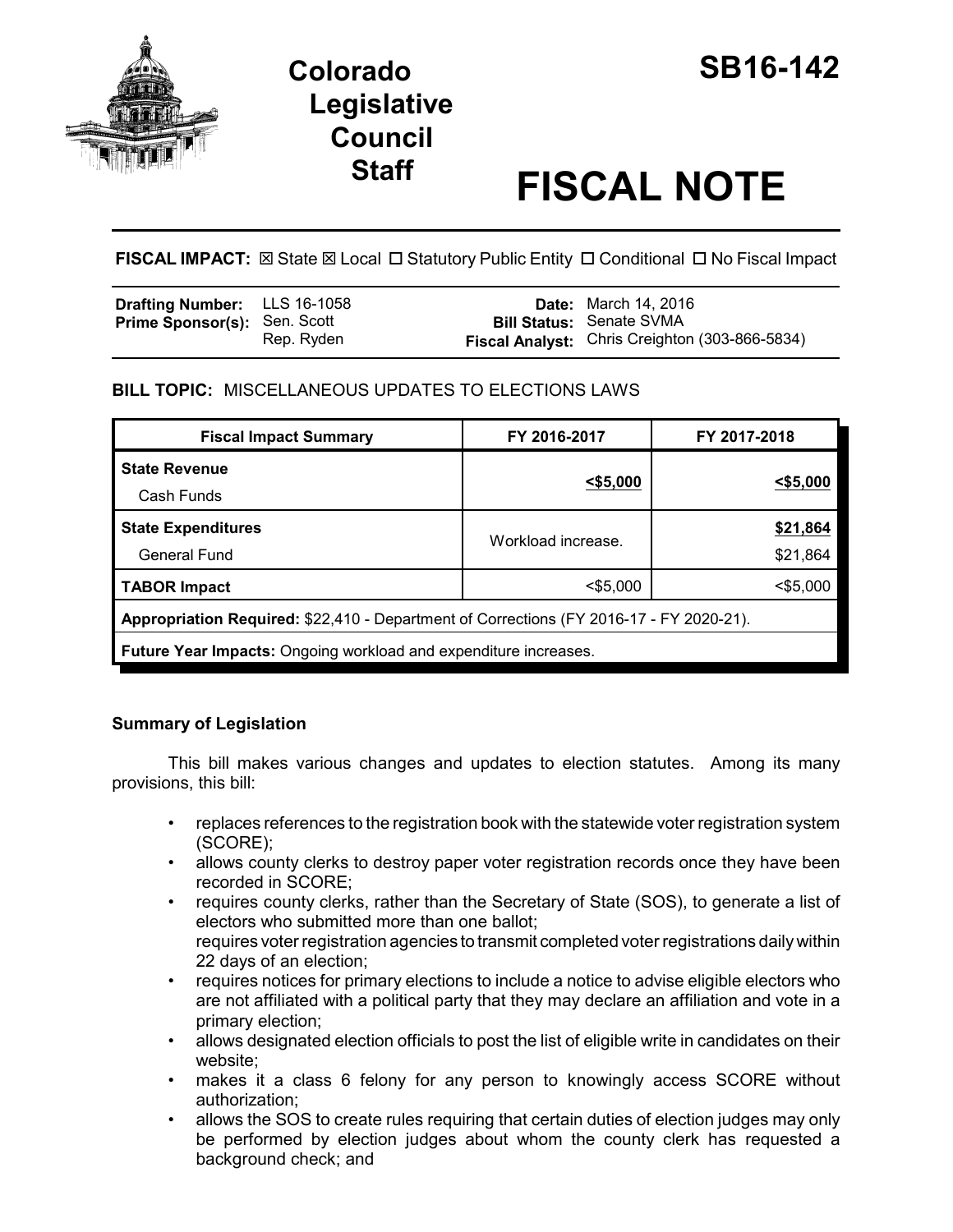

# **Staff FISCAL NOTE**

**FISCAL IMPACT:**  $\boxtimes$  State  $\boxtimes$  Local  $\Box$  Statutory Public Entity  $\Box$  Conditional  $\Box$  No Fiscal Impact

| <b>Drafting Number:</b> LLS 16-1058 |            | <b>Date:</b> March 14, 2016                    |
|-------------------------------------|------------|------------------------------------------------|
| <b>Prime Sponsor(s): Sen. Scott</b> |            | <b>Bill Status: Senate SVMA</b>                |
|                                     | Rep. Ryden | Fiscal Analyst: Chris Creighton (303-866-5834) |

# **BILL TOPIC:** MISCELLANEOUS UPDATES TO ELECTIONS LAWS

| <b>Fiscal Impact Summary</b>                                                            | FY 2016-2017       | FY 2017-2018         |  |  |
|-----------------------------------------------------------------------------------------|--------------------|----------------------|--|--|
| <b>State Revenue</b><br>Cash Funds                                                      | $<$ \$5,000        | $<$ \$5,000          |  |  |
| <b>State Expenditures</b><br><b>General Fund</b>                                        | Workload increase. | \$21,864<br>\$21,864 |  |  |
| <b>TABOR Impact</b>                                                                     | $<$ \$5,000        | $<$ \$5,000          |  |  |
| Appropriation Required: \$22,410 - Department of Corrections (FY 2016-17 - FY 2020-21). |                    |                      |  |  |
| Future Year Impacts: Ongoing workload and expenditure increases.                        |                    |                      |  |  |

# **Summary of Legislation**

This bill makes various changes and updates to election statutes. Among its many provisions, this bill:

- replaces references to the registration book with the statewide voter registration system (SCORE);
- allows county clerks to destroy paper voter registration records once they have been recorded in SCORE;
- requires county clerks, rather than the Secretary of State (SOS), to generate a list of electors who submitted more than one ballot; requires voter registration agencies to transmit completed voter registrations daily within 22 days of an election;
- requires notices for primary elections to include a notice to advise eligible electors who are not affiliated with a political party that they may declare an affiliation and vote in a primary election;
- allows designated election officials to post the list of eligible write in candidates on their website;
- makes it a class 6 felony for any person to knowingly access SCORE without authorization;
- allows the SOS to create rules requiring that certain duties of election judges may only be performed by election judges about whom the county clerk has requested a background check; and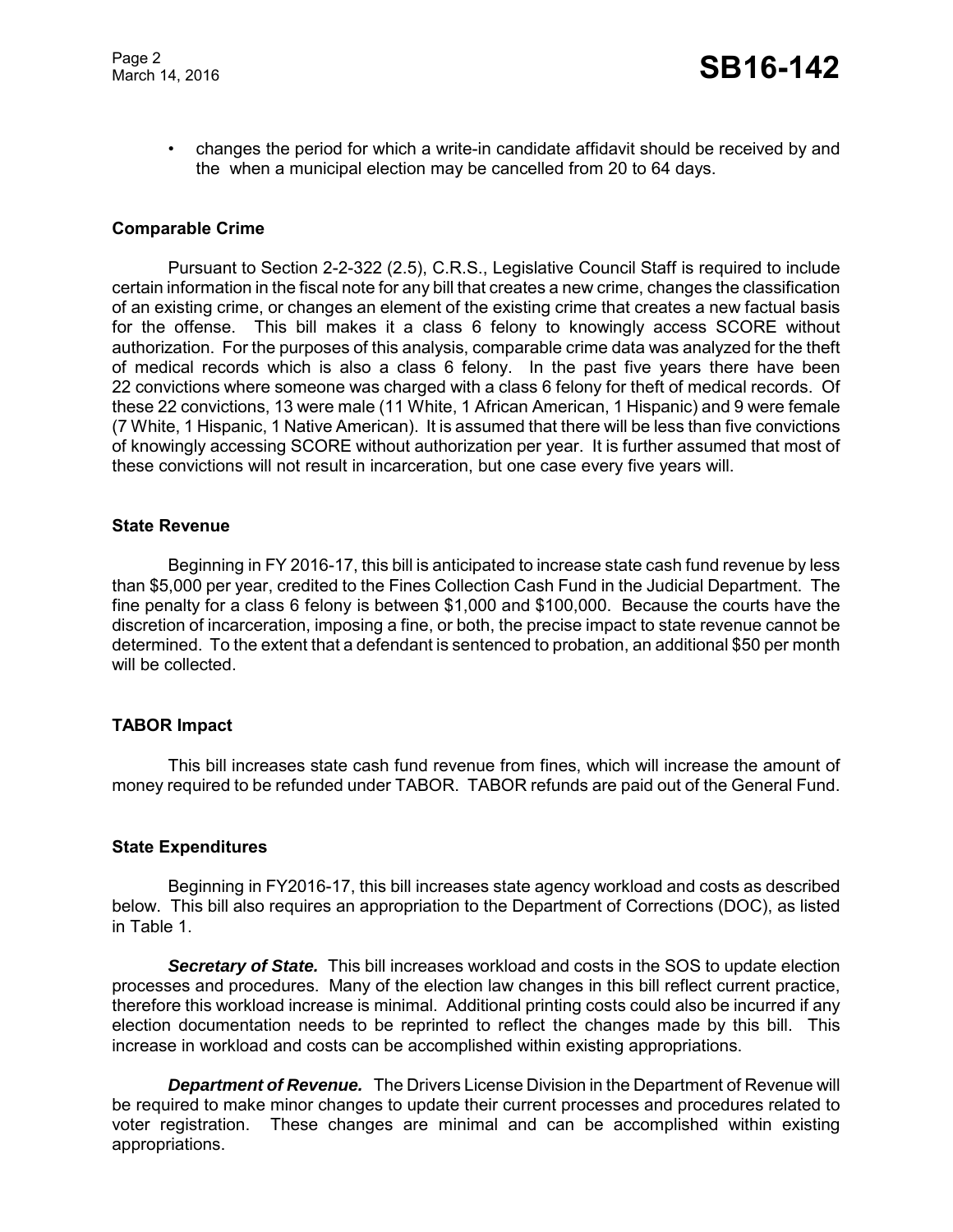• changes the period for which a write-in candidate affidavit should be received by and the when a municipal election may be cancelled from 20 to 64 days.

### **Comparable Crime**

Pursuant to Section 2-2-322 (2.5), C.R.S., Legislative Council Staff is required to include certain information in the fiscal note for any bill that creates a new crime, changes the classification of an existing crime, or changes an element of the existing crime that creates a new factual basis for the offense. This bill makes it a class 6 felony to knowingly access SCORE without authorization. For the purposes of this analysis, comparable crime data was analyzed for the theft of medical records which is also a class 6 felony. In the past five years there have been 22 convictions where someone was charged with a class 6 felony for theft of medical records. Of these 22 convictions, 13 were male (11 White, 1 African American, 1 Hispanic) and 9 were female (7 White, 1 Hispanic, 1 Native American). It is assumed that there will be less than five convictions of knowingly accessing SCORE without authorization per year. It is further assumed that most of these convictions will not result in incarceration, but one case every five years will.

#### **State Revenue**

Beginning in FY 2016-17, this bill is anticipated to increase state cash fund revenue by less than \$5,000 per year, credited to the Fines Collection Cash Fund in the Judicial Department. The fine penalty for a class 6 felony is between \$1,000 and \$100,000. Because the courts have the discretion of incarceration, imposing a fine, or both, the precise impact to state revenue cannot be determined. To the extent that a defendant is sentenced to probation, an additional \$50 per month will be collected.

#### **TABOR Impact**

This bill increases state cash fund revenue from fines, which will increase the amount of money required to be refunded under TABOR. TABOR refunds are paid out of the General Fund.

#### **State Expenditures**

Beginning in FY2016-17, this bill increases state agency workload and costs as described below. This bill also requires an appropriation to the Department of Corrections (DOC), as listed in Table 1.

*Secretary of State.* This bill increases workload and costs in the SOS to update election processes and procedures. Many of the election law changes in this bill reflect current practice, therefore this workload increase is minimal. Additional printing costs could also be incurred if any election documentation needs to be reprinted to reflect the changes made by this bill. This increase in workload and costs can be accomplished within existing appropriations.

**Department of Revenue.** The Drivers License Division in the Department of Revenue will be required to make minor changes to update their current processes and procedures related to voter registration. These changes are minimal and can be accomplished within existing appropriations.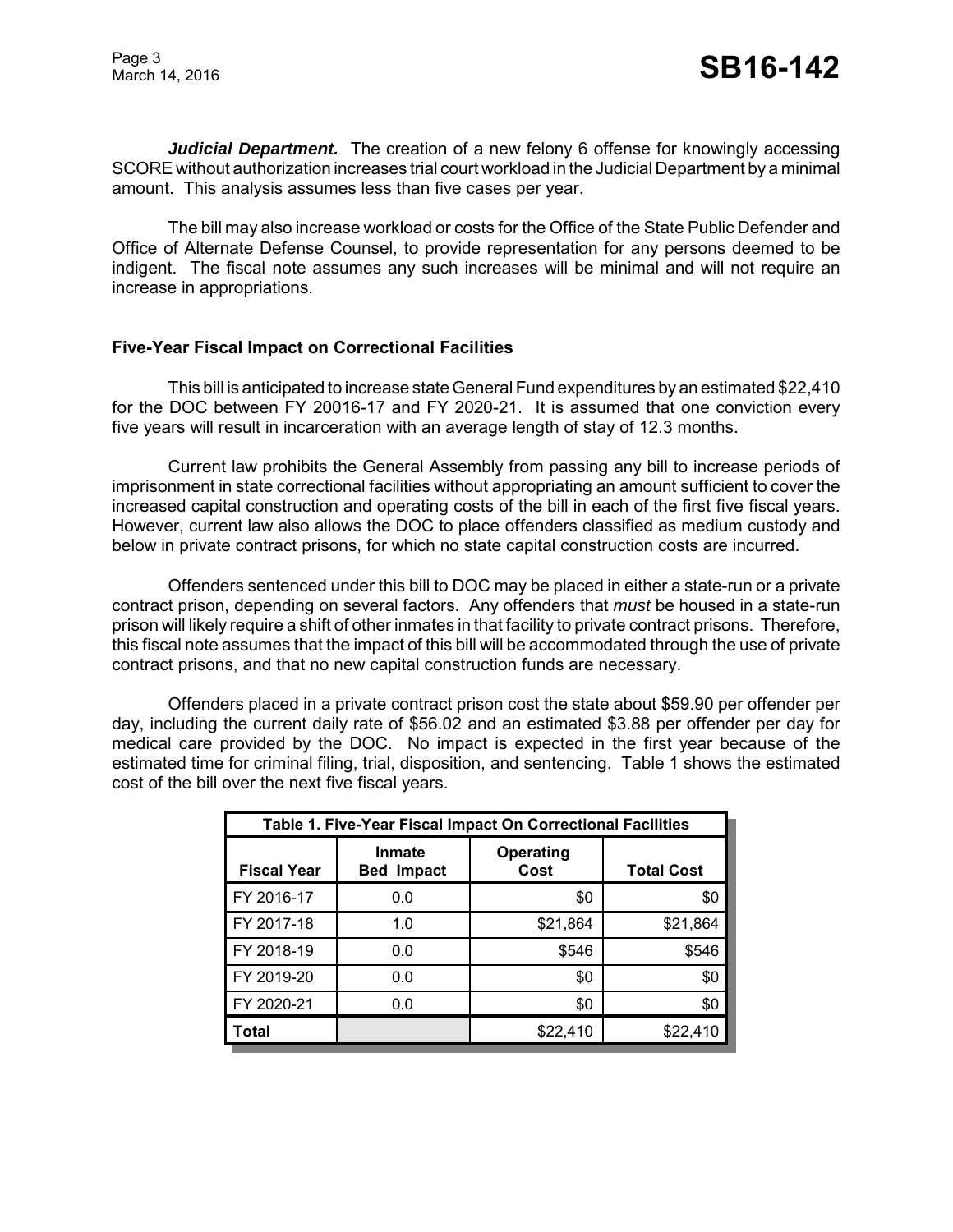*Judicial Department.* The creation of a new felony 6 offense for knowingly accessing SCORE without authorization increases trial court workload in the Judicial Department by a minimal amount. This analysis assumes less than five cases per year.

The bill may also increase workload or costs for the Office of the State Public Defender and Office of Alternate Defense Counsel, to provide representation for any persons deemed to be indigent. The fiscal note assumes any such increases will be minimal and will not require an increase in appropriations.

# **Five-Year Fiscal Impact on Correctional Facilities**

This bill is anticipated to increase state General Fund expenditures by an estimated \$22,410 for the DOC between FY 20016-17 and FY 2020-21. It is assumed that one conviction every five years will result in incarceration with an average length of stay of 12.3 months.

Current law prohibits the General Assembly from passing any bill to increase periods of imprisonment in state correctional facilities without appropriating an amount sufficient to cover the increased capital construction and operating costs of the bill in each of the first five fiscal years. However, current law also allows the DOC to place offenders classified as medium custody and below in private contract prisons, for which no state capital construction costs are incurred.

Offenders sentenced under this bill to DOC may be placed in either a state-run or a private contract prison, depending on several factors. Any offenders that *must* be housed in a state-run prison will likely require a shift of other inmates in that facility to private contract prisons. Therefore, this fiscal note assumes that the impact of this bill will be accommodated through the use of private contract prisons, and that no new capital construction funds are necessary.

Offenders placed in a private contract prison cost the state about \$59.90 per offender per day, including the current daily rate of \$56.02 and an estimated \$3.88 per offender per day for medical care provided by the DOC. No impact is expected in the first year because of the estimated time for criminal filing, trial, disposition, and sentencing. Table 1 shows the estimated cost of the bill over the next five fiscal years.

| Table 1. Five-Year Fiscal Impact On Correctional Facilities |                                    |                          |                   |  |
|-------------------------------------------------------------|------------------------------------|--------------------------|-------------------|--|
| <b>Fiscal Year</b>                                          | <b>Inmate</b><br><b>Bed Impact</b> | <b>Operating</b><br>Cost | <b>Total Cost</b> |  |
| FY 2016-17                                                  | 0.0                                | \$0                      | \$0               |  |
| FY 2017-18                                                  | 1.0                                | \$21,864                 | \$21,864          |  |
| FY 2018-19                                                  | 0.0                                | \$546                    | \$546             |  |
| FY 2019-20                                                  | 0.0                                | \$0                      | \$0               |  |
| FY 2020-21                                                  | 0.0                                | \$0                      | \$0               |  |
| Total                                                       |                                    | \$22,410                 | \$22,410          |  |